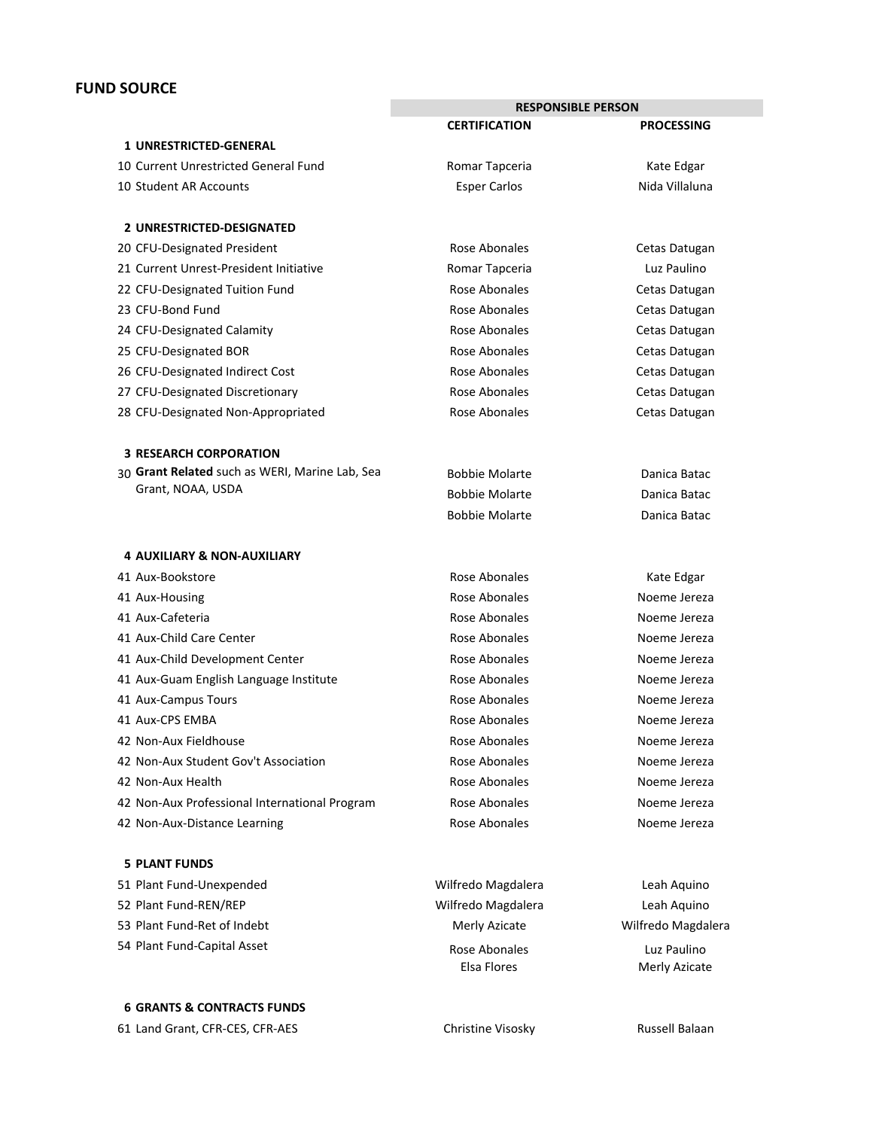# **FUND SOURCE**

|                                                | <b>RESPONSIBLE PERSON</b>    |                              |
|------------------------------------------------|------------------------------|------------------------------|
|                                                | <b>CERTIFICATION</b>         | <b>PROCESSING</b>            |
| <b>1 UNRESTRICTED-GENERAL</b>                  |                              |                              |
| 10 Current Unrestricted General Fund           | Romar Tapceria               | Kate Edgar                   |
| 10 Student AR Accounts                         | <b>Esper Carlos</b>          | Nida Villaluna               |
| 2 UNRESTRICTED-DESIGNATED                      |                              |                              |
| 20 CFU-Designated President                    | Rose Abonales                | Cetas Datugan                |
| 21 Current Unrest-President Initiative         | Romar Tapceria               | Luz Paulino                  |
| 22 CFU-Designated Tuition Fund                 | Rose Abonales                | Cetas Datugan                |
| 23 CFU-Bond Fund                               | Rose Abonales                | Cetas Datugan                |
| 24 CFU-Designated Calamity                     | Rose Abonales                | Cetas Datugan                |
| 25 CFU-Designated BOR                          | Rose Abonales                | Cetas Datugan                |
| 26 CFU-Designated Indirect Cost                | Rose Abonales                | Cetas Datugan                |
| 27 CFU-Designated Discretionary                | Rose Abonales                | Cetas Datugan                |
| 28 CFU-Designated Non-Appropriated             | Rose Abonales                | Cetas Datugan                |
| <b>3 RESEARCH CORPORATION</b>                  |                              |                              |
| 30 Grant Related such as WERI, Marine Lab, Sea | <b>Bobbie Molarte</b>        | Danica Batac                 |
| Grant, NOAA, USDA                              | <b>Bobbie Molarte</b>        | Danica Batac                 |
|                                                | <b>Bobbie Molarte</b>        | Danica Batac                 |
| <b>4 AUXILIARY &amp; NON-AUXILIARY</b>         |                              |                              |
| 41 Aux-Bookstore                               | Rose Abonales                | Kate Edgar                   |
| 41 Aux-Housing                                 | Rose Abonales                | Noeme Jereza                 |
| 41 Aux-Cafeteria                               | Rose Abonales                | Noeme Jereza                 |
| 41 Aux-Child Care Center                       | Rose Abonales                | Noeme Jereza                 |
| 41 Aux-Child Development Center                | Rose Abonales                | Noeme Jereza                 |
| 41 Aux-Guam English Language Institute         | Rose Abonales                | Noeme Jereza                 |
| 41 Aux-Campus Tours                            | Rose Abonales                | Noeme Jereza                 |
| 41 Aux-CPS EMBA                                | Rose Abonales                | Noeme Jereza                 |
| 42 Non-Aux Fieldhouse                          | Rose Abonales                | Noeme Jereza                 |
| 42 Non-Aux Student Gov't Association           | Rose Abonales                | Noeme Jereza                 |
| 42 Non-Aux Health                              | Rose Abonales                | Noeme Jereza                 |
| 42 Non-Aux Professional International Program  | Rose Abonales                | Noeme Jereza                 |
| 42 Non-Aux-Distance Learning                   | Rose Abonales                | Noeme Jereza                 |
| <b>5 PLANT FUNDS</b>                           |                              |                              |
| 51 Plant Fund-Unexpended                       | Wilfredo Magdalera           | Leah Aquino                  |
| 52 Plant Fund-REN/REP                          | Wilfredo Magdalera           | Leah Aquino                  |
| 53 Plant Fund-Ret of Indebt                    | Merly Azicate                | Wilfredo Magdalera           |
| 54 Plant Fund-Capital Asset                    | Rose Abonales<br>Elsa Flores | Luz Paulino<br>Merly Azicate |

# **6 GRANTS & CONTRACTS FUNDS**

61 Land Grant, CFR‐CES, CFR‐AES Christine Visosky Russell Balaan